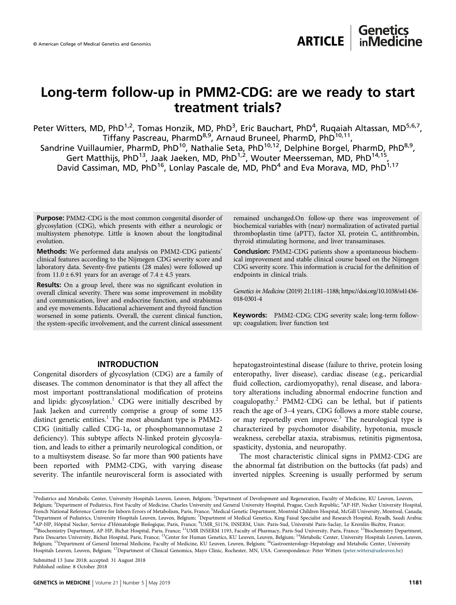## Long-term follow-up in PMM2-CDG: are we ready to start treatment trials?

Peter Witters, MD, PhD<sup>1,2</sup>, Tomas Honzik, MD, PhD<sup>3</sup>, Eric Bauchart, PhD<sup>4</sup>, Ruqaiah Altassan, MD<sup>5,6,7</sup>, Tiffany Pascreau, PharmD<sup>8,9</sup>, Arnaud Bruneel, PharmD, PhD<sup>10,11</sup>,

Sandrine Vuillaumier, PharmD, PhD<sup>10</sup>, Nathalie Seta, PhD<sup>10,12</sup>, Delphine Borgel, PharmD, PhD<sup>8,9</sup>, Gert Matthijs, PhD<sup>13</sup>, Jaak Jaeken, MD, PhD<sup>1,2</sup>, Wouter Meersseman, MD, PhD<sup>14,15</sup>, David Cassiman, MD, PhD<sup>16</sup>, Lonlay Pascale de, MD, PhD<sup>4</sup> and Eva Morava, MD, PhD<sup>1,17</sup>

Purpose: PMM2-CDG is the most common congenital disorder of glycosylation (CDG), which presents with either a neurologic or multisystem phenotype. Little is known about the longitudinal evolution.

Methods: We performed data analysis on PMM2-CDG patients' clinical features according to the Nijmegen CDG severity score and laboratory data. Seventy-five patients (28 males) were followed up from  $11.0 \pm 6.91$  years for an average of  $7.4 \pm 4.5$  years.

Results: On a group level, there was no significant evolution in overall clinical severity. There was some improvement in mobility and communication, liver and endocrine function, and strabismus and eye movements. Educational achievement and thyroid function worsened in some patients. Overall, the current clinical function, the system-specific involvement, and the current clinical assessment remained unchanged.On follow-up there was improvement of biochemical variables with (near) normalization of activated partial thromboplastin time (aPTT), factor XI, protein C, antithrombin, thyroid stimulating hormone, and liver transaminases.

Conclusion: PMM2-CDG patients show a spontaneous biochemical improvement and stable clinical course based on the Nijmegen CDG severity score. This information is crucial for the definition of endpoints in clinical trials.

Genetics in Medicine (2019) 21:1181–1188; https://doi.org/10.1038/s41436- 018-0301-4

Keywords: PMM2-CDG; CDG severity scale; long-term followup; coagulation; liver function test

#### INTRODUCTION

Congenital disorders of glycosylation (CDG) are a family of diseases. The common denominator is that they all affect the most important posttranslational modification of proteins and lipids: glycosylation.<sup>1</sup> CDG were initially described by Jaak Jaeken and currently comprise a group of some 135 distinct genetic entities. $1$  The most abundant type is PMM2-CDG (initially called CDG-1a, or phosphomannomutase 2 deficiency). This subtype affects N-linked protein glycosylation, and leads to either a primarily neurological condition, or to a multisystem disease. So far more than 900 patients have been reported with PMM2-CDG, with varying disease severity. The infantile neurovisceral form is associated with

hepatogastrointestinal disease (failure to thrive, protein losing enteropathy, liver disease), cardiac disease (e.g., pericardial fluid collection, cardiomyopathy), renal disease, and laboratory alterations including abnormal endocrine function and  $coagulopathy.<sup>2</sup> PMM2-CDG can be lethal, but if patients$  $coagulopathy.<sup>2</sup> PMM2-CDG can be lethal, but if patients$  $coagulopathy.<sup>2</sup> PMM2-CDG can be lethal, but if patients$ reach the age of 3–4 years, CDG follows a more stable course, or may reportedly even improve.<sup>[3](#page-7-0)</sup> The neurological type is characterized by psychomotor disability, hypotonia, muscle weakness, cerebellar ataxia, strabismus, retinitis pigmentosa, spasticity, dystonia, and neuropathy.

The most characteristic clinical signs in PMM2-CDG are the abnormal fat distribution on the buttocks (fat pads) and inverted nipples. Screening is usually performed by serum

Submitted 13 June 2018; accepted: 31 August 2018 Published online: 8 October 2018

<sup>&</sup>lt;sup>1</sup>Pediatrics and Metabolic Center, University Hospitals Leuven, Leuven, Belgium; <sup>2</sup>Department of Development and Regeneration, Faculty of Medicine, KU Leuven, Leuven, Belgium; <sup>3</sup>Department of Pediatrics, First Faculty of Medicine, Charles University and General University Hospital, Prague, Czech Republic; <sup>4</sup>AP-HP, Necker University Hospital French National Reference Centre for Inborn Errors of Metabolism, Paris, France; <sup>5</sup>Medical Genetic Department, Montréal Children Hospital, McGill University, Montreal, Canada;<br><sup>6</sup>Department of Pediatrics, University Hospi <sup>6</sup>Department of Pediatrics, University Hospitals Leuven, Leuven, Belgium; <sup>7</sup>Department of Medical Genetics, King Faisal Specialist and Research Hospital, Riyadh, Saudi Arabia;<br><sup>8</sup>AD HD, Honital Necker, Service d'Hématolo <sup>8</sup>AP-HP, Hôpital Necker, Service d'Hématologie Biologique, Paris, France; <sup>9</sup>UMR\_S1176, INSERM, Univ. Paris-Sud, Université Paris-Saclay, Le Kremlin-Bicêtre, France; <sup>10</sup>Biochemistry Department, AP-HP, Bichat Hospital, Paris, France; <sup>11</sup>UMR INSERM 1193, Faculty of Pharmacy, Paris-Sud University, Paris, France; <sup>12</sup>Biochemistry Department, Paris Descartes University, Bichat Hospital, Paris, France; <sup>13</sup>Center for Human Genetics, KU Leuven, Leuven, Belgium; <sup>14</sup>Metabolic Center, University Hospitals Leuven, Leuven, Belgium; <sup>15</sup>Department of General Internal Medicine, Faculty of Medicine, KU Leuven, Leuven, Belgium; <sup>16</sup>Gastroenterology-Hepatology and Metabolic Center, University Hospitals Leuven, Leuven, Belgium; <sup>17</sup>Department of Clinical Genomics, Mayo Clinic, Rochester, MN, USA. Correspondence: Peter Witters ([peter.witters@uzleuven.be\)](mailto:peter.witters@uzleuven.be)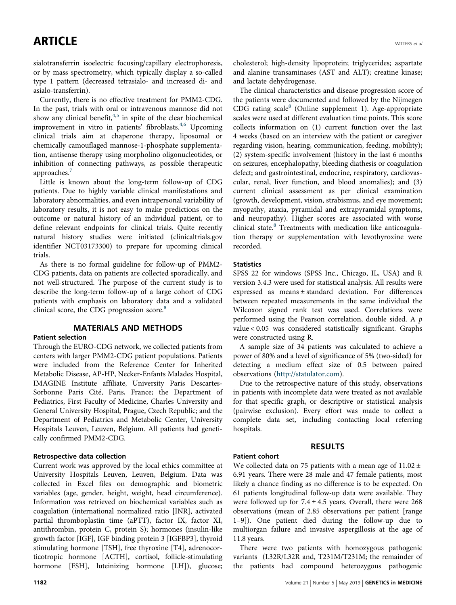sialotransferrin isoelectric focusing/capillary electrophoresis, or by mass spectrometry, which typically display a so-called type 1 pattern (decreased tetrasialo- and increased di- and asialo-transferrin).

Currently, there is no effective treatment for PMM2-CDG. In the past, trials with oral or intravenous mannose did not show any clinical benefit, $4,5$  in spite of the clear biochemical improvement in vitro in patients' fibroblasts.<sup>[4](#page-7-0),[6](#page-7-0)</sup> Upcoming clinical trials aim at chaperone therapy, liposomal or chemically camouflaged mannose-1-phosphate supplementation, antisense therapy using morpholino oligonucleotides, or inhibition of connecting pathways, as possible therapeutic approaches.'

Little is known about the long-term follow-up of CDG patients. Due to highly variable clinical manifestations and laboratory abnormalities, and even intrapersonal variability of laboratory results, it is not easy to make predictions on the outcome or natural history of an individual patient, or to define relevant endpoints for clinical trials. Quite recently natural history studies were initiated (clinicaltrials.gov identifier NCT03173300) to prepare for upcoming clinical trials.

As there is no formal guideline for follow-up of PMM2- CDG patients, data on patients are collected sporadically, and not well-structured. The purpose of the current study is to describe the long-term follow-up of a large cohort of CDG patients with emphasis on laboratory data and a validated clinical score, the CDG progression score.<sup>[8](#page-7-0)</sup>

#### MATERIALS AND METHODS

#### Patient selection

Through the EURO-CDG network, we collected patients from centers with larger PMM2-CDG patient populations. Patients were included from the Reference Center for Inherited Metabolic Disease, AP-HP, Necker-Enfants Malades Hospital, IMAGINE Institute affiliate, University Paris Descartes-Sorbonne Paris Cité, Paris, France; the Department of Pediatrics, First Faculty of Medicine, Charles University and General University Hospital, Prague, Czech Republic; and the Department of Pediatrics and Metabolic Center, University Hospitals Leuven, Leuven, Belgium. All patients had genetically confirmed PMM2-CDG.

#### Retrospective data collection

Current work was approved by the local ethics committee at University Hospitals Leuven, Leuven, Belgium. Data was collected in Excel files on demographic and biometric variables (age, gender, height, weight, head circumference). Information was retrieved on biochemical variables such as coagulation (international normalized ratio [INR], activated partial thromboplastin time (aPTT), factor IX, factor XI, antithrombin, protein C, protein S); hormones (insulin-like growth factor [IGF], IGF binding protein 3 [IGFBP3], thyroid stimulating hormone [TSH], free thyroxine [T4], adrenocorticotropic hormone [ACTH], cortisol, follicle-stimulating hormone [FSH], luteinizing hormone [LH]), glucose; cholesterol; high-density lipoprotein; triglycerides; aspartate and alanine transaminases (AST and ALT); creatine kinase; and lactate dehydrogenase.

The clinical characteristics and disease progression score of the patients were documented and followed by the Nijmegen CDG rating scale $8$  (Online supplement 1). Age-appropriate scales were used at different evaluation time points. This score collects information on (1) current function over the last 4 weeks (based on an interview with the patient or caregiver regarding vision, hearing, communication, feeding, mobility); (2) system-specific involvement (history in the last 6 months on seizures, encephalopathy, bleeding diathesis or coagulation defect; and gastrointestinal, endocrine, respiratory, cardiovascular, renal, liver function, and blood anomalies); and (3) current clinical assessment as per clinical examination (growth, development, vision, strabismus, and eye movement; myopathy, ataxia, pyramidal and extrapyramidal symptoms, and neuropathy). Higher scores are associated with worse clinical state.[8](#page-7-0) Treatments with medication like anticoagulation therapy or supplementation with levothyroxine were recorded.

#### **Statistics**

SPSS 22 for windows (SPSS Inc., Chicago, IL, USA) and R version 3.4.3 were used for statistical analysis. All results were expressed as means ± standard deviation. For differences between repeated measurements in the same individual the Wilcoxon signed rank test was used. Correlations were performed using the Pearson correlation, double sided. A p value < 0.05 was considered statistically significant. Graphs were constructed using R.

A sample size of 34 patients was calculated to achieve a power of 80% and a level of significance of 5% (two-sided) for detecting a medium effect size of 0.5 between paired observations [\(http://statulator.com\)](http://statulator.com).

Due to the retrospective nature of this study, observations in patients with incomplete data were treated as not available for that specific graph, or descriptive or statistical analysis (pairwise exclusion). Every effort was made to collect a complete data set, including contacting local referring hospitals.

#### RESULTS

#### Patient cohort

We collected data on 75 patients with a mean age of  $11.02 \pm$ 6.91 years. There were 28 male and 47 female patients, most likely a chance finding as no difference is to be expected. On 61 patients longitudinal follow-up data were available. They were followed up for  $7.4 \pm 4.5$  years. Overall, there were 268 observations (mean of 2.85 observations per patient [range 1–9]). One patient died during the follow-up due to multiorgan failure and invasive aspergillosis at the age of 11.8 years.

There were two patients with homozygous pathogenic variants (L32R/L32R and, T231M/T231M; the remainder of the patients had compound heterozygous pathogenic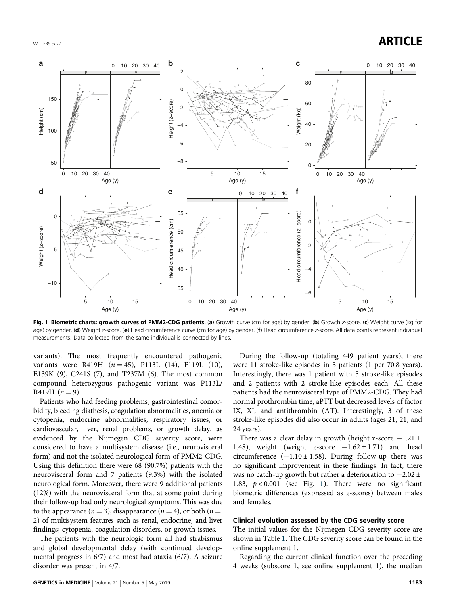### WITTERS et al.  $\blacksquare$



Fig. 1 Biometric charts: growth curves of PMM2-CDG patients. (a) Growth curve (cm for age) by gender. (b) Growth z-score. (c) Weight curve (kg for age) by gender. (d) Weight z-score. (e) Head circumference curve (cm for age) by gender. (f) Head circumference z-score. All data points represent individual measurements. Data collected from the same individual is connected by lines.

variants). The most frequently encountered pathogenic variants were R419H  $(n = 45)$ , P113L (14), F119L (10), E139K (9), C241S (7), and T237M (6). The most common compound heterozygous pathogenic variant was P113L/ R419H  $(n = 9)$ .

Patients who had feeding problems, gastrointestinal comorbidity, bleeding diathesis, coagulation abnormalities, anemia or cytopenia, endocrine abnormalities, respiratory issues, or cardiovascular, liver, renal problems, or growth delay, as evidenced by the Nijmegen CDG severity score, were considered to have a multisystem disease (i.e., neurovisceral form) and not the isolated neurological form of PMM2-CDG. Using this definition there were 68 (90.7%) patients with the neurovisceral form and 7 patients (9.3%) with the isolated neurological form. Moreover, there were 9 additional patients (12%) with the neurovisceral form that at some point during their follow-up had only neurological symptoms. This was due to the appearance ( $n = 3$ ), disappearance ( $n = 4$ ), or both ( $n =$ 2) of multisystem features such as renal, endocrine, and liver findings; cytopenia, coagulation disorders, or growth issues.

The patients with the neurologic form all had strabismus and global developmental delay (with continued developmental progress in 6/7) and most had ataxia (6/7). A seizure disorder was present in 4/7.

During the follow-up (totaling 449 patient years), there were 11 stroke-like episodes in 5 patients (1 per 70.8 years). Interestingly, there was 1 patient with 5 stroke-like episodes and 2 patients with 2 stroke-like episodes each. All these patients had the neurovisceral type of PMM2-CDG. They had normal prothrombin time, aPTT but decreased levels of factor IX, XI, and antithrombin (AT). Interestingly, 3 of these stroke-like episodes did also occur in adults (ages 21, 21, and 24 years).

There was a clear delay in growth (height z-score −1.21 ± 1.48), weight (weight z-score  $-1.62 \pm 1.71$ ) and head circumference  $(-1.10 \pm 1.58)$ . During follow-up there was no significant improvement in these findings. In fact, there was no catch-up growth but rather a deterioration to −2.02 ± 1.83,  $p < 0.001$  (see Fig. 1). There were no significant biometric differences (expressed as z-scores) between males and females.

#### Clinical evolution assessed by the CDG severity score

The initial values for the Nijmegen CDG severity score are shown in Table [1](#page-3-0). The CDG severity score can be found in the online supplement 1.

Regarding the current clinical function over the preceding 4 weeks (subscore 1, see online supplement 1), the median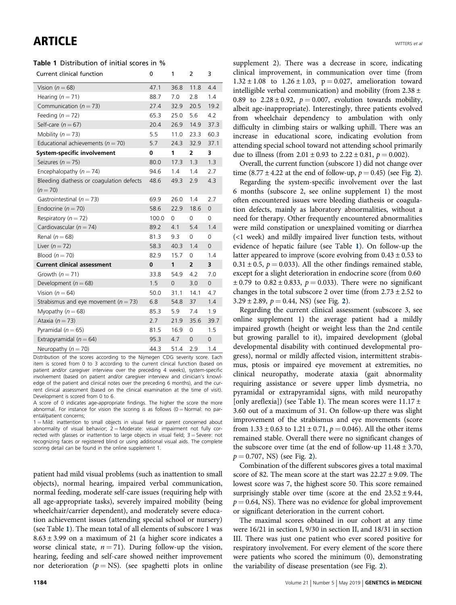#### <span id="page-3-0"></span>Table 1 Distribution of initial scores in %

| Current clinical function                               | 0        | 1        | 2              | 3              |
|---------------------------------------------------------|----------|----------|----------------|----------------|
| Vision $(n=68)$                                         | 47.1     | 36.8     | 11.8           | 4.4            |
| Hearing $(n = 71)$                                      | 88.7     | 7.0      | 2.8            | 1.4            |
| Communication ( $n = 73$ )                              | 27.4     | 32.9     | 20.5           | 19.2           |
| Feeding $(n = 72)$                                      | 65.3     | 25.0     | 5.6            | 4.2            |
| Self-care ( $n = 67$ )                                  | 20.4     | 26.9     | 14.9           | 37.3           |
| Mobility ( $n = 73$ )                                   | 5.5      | 11.0     | 23.3           | 60.3           |
| Educational achievements ( $n = 70$ )                   | 5.7      | 24.3     | 32.9           | 37.1           |
| System-specific involvement                             | 0        | 1        | 2              | 3              |
| Seizures ( $n = 75$ )                                   | 80.0     | 17.3     | 1.3            | 1.3            |
| Encephalopathy ( $n = 74$ )                             | 94.6     | 1.4      | 1.4            | 2.7            |
| Bleeding diathesis or coagulation defects<br>$(n = 70)$ | 48.6     | 49.3     | 2.9            | 4.3            |
| Gastrointestinal ( $n = 73$ )                           | 69.9     | 26.0     | 1.4            | 2.7            |
| Endocrine ( $n = 70$ )                                  | 58.6     | 22.9     | 18.6           | $\overline{0}$ |
| Respiratory ( $n = 72$ )                                | 100.0    | $\Omega$ | 0              | 0              |
| Cardiovascular ( $n = 74$ )                             | 89.2     | 4.1      | 5.4            | 1.4            |
| Renal $(n = 68)$                                        | 81.3     | 9.3      | 0              | 0              |
| Liver $(n=72)$                                          | 58.3     | 40.3     | 1.4            | $\mathbf{0}$   |
| Blood $(n = 70)$                                        | 82.9     | 15.7     | 0              | 1.4            |
| <b>Current clinical assessment</b>                      | $\bf{0}$ | 1        | $\overline{2}$ | 3              |
| Growth $(n = 71)$                                       | 33.8     | 54.9     | 4.2            | 7.0            |
| Development ( $n = 68$ )                                | 1.5      | $\Omega$ | 3.0            | $\overline{0}$ |
| Vision $(n = 64)$                                       | 50.0     | 31.1     | 14.1           | 4.7            |
| Strabismus and eye movement ( $n = 73$ )                | 6.8      | 54.8     | 37             | 1.4            |
| Myopathy $(n = 68)$                                     | 85.3     | 5.9      | 7.4            | 1.9            |
| Ataxia ( $n = 73$ )                                     | 2.7      | 21.9     | 35.6           | 39.7           |
| Pyramidal ( $n = 65$ )                                  | 81.5     | 16.9     | 0              | 1.5            |
| Extrapyramidal ( $n = 64$ )                             | 95.3     | 4.7      | $\mathbf{O}$   | 0              |
| Neuropathy ( $n = 70$ )                                 | 44.3     | 51.4     | 2.9            | 1.4            |

Distribution of the scores according to the Nijmegen CDG severity score. Each item is scored from 0 to 3 according to the current clinical function (based on patient and/or caregiver interview over the preceding 4 weeks), system-specific involvement (based on patient and/or caregiver interview and clinician's knowledge of the patient and clinical notes over the preceding 6 months), and the current clinical assessment (based on the clinical examination at the time of visit). Development is scored from 0 to 6.

A score of 0 indicates age-appropriate findings. The higher the score the more abnormal. For instance for vision the scoring is as follows  $(0 = \text{Normal: no par-}$ ental/patient concerns;

 $1 =$  Mild: inattention to small objects in visual field or parent concerned about abnormality of visual behavior;  $2 =$  Moderate: visual impairment not fully corrected with glasses or inattention to large objects in visual field;  $3 =$  Severe: not recognizing faces or registered blind or using additional visual aids. The complete scoring detail can be found in the online supplement 1.

patient had mild visual problems (such as inattention to small objects), normal hearing, impaired verbal communication, normal feeding, moderate self-care issues (requiring help with all age-appropriate tasks), severely impaired mobility (being wheelchair/carrier dependent), and moderately severe education achievement issues (attending special school or nursery) (see Table 1). The mean total of all elements of subscore 1 was  $8.63 \pm 3.99$  on a maximum of 21 (a higher score indicates a worse clinical state,  $n = 71$ ). During follow-up the vision, hearing, feeding and self-care showed neither improvement nor deterioration ( $p = NS$ ). (see spaghetti plots in online supplement 2). There was a decrease in score, indicating clinical improvement, in communication over time (from  $1.32 \pm 1.08$  to  $1.26 \pm 1.03$ ,  $p = 0.027$ , amelioration toward intelligible verbal communication) and mobility (from  $2.38 \pm$ 0.89 to  $2.28 \pm 0.92$ ,  $p = 0.007$ , evolution towards mobility, albeit age-inappropriate). Interestingly, three patients evolved from wheelchair dependency to ambulation with only difficulty in climbing stairs or walking uphill. There was an increase in educational score, indicating evolution from attending special school toward not attending school primarily due to illness (from  $2.01 \pm 0.93$  to  $2.22 \pm 0.81$ ,  $p = 0.002$ ).

Overall, the current function (subscore 1) did not change over time (8.77  $\pm$  4.[2](#page-4-0)2 at the end of follow-up,  $p = 0.45$ ) (see Fig. 2).

Regarding the system-specific involvement over the last 6 months (subscore 2, see online supplement 1) the most often encountered issues were bleeding diathesis or coagulation defects, mainly as laboratory abnormalities, without a need for therapy. Other frequently encountered abnormalities were mild constipation or unexplained vomiting or diarrhea (<1 week) and mildly impaired liver function tests, without evidence of hepatic failure (see Table 1). On follow-up the latter appeared to improve (score evolving from  $0.43 \pm 0.53$  to  $0.31 \pm 0.5$ ,  $p = 0.033$ ). All the other findings remained stable, except for a slight deterioration in endocrine score (from 0.60  $\pm$  0.79 to 0.82  $\pm$  0.833,  $p = 0.033$ ). There were no significant changes in the total subscore 2 over time (from  $2.73 \pm 2.52$  to  $3.29 \pm 2.89$  $3.29 \pm 2.89$  $3.29 \pm 2.89$ ,  $p = 0.44$ , NS) (see Fig. 2).

Regarding the current clinical assessment (subscore 3, see online supplement 1) the average patient had a mildly impaired growth (height or weight less than the 2nd centile but growing parallel to it), impaired development (global developmental disability with continued developmental progress), normal or mildly affected vision, intermittent strabismus, ptosis or impaired eye movement at extremities, no clinical neuropathy, moderate ataxia (gait abnormality requiring assistance or severe upper limb dysmetria, no pyramidal or extrapyramidal signs, with mild neuropathy [only areflexia]) (see Table 1). The mean scores were  $11.17 \pm$ 3.60 out of a maximum of 31. On follow-up there was slight improvement of the strabismus and eye movements (score from  $1.33 \pm 0.63$  to  $1.21 \pm 0.71$ ,  $p = 0.046$ ). All the other items remained stable. Overall there were no significant changes of the subscore over time (at the end of follow-up  $11.48 \pm 3.70$ ,  $p = 0.707$ , NS) (see Fig. [2](#page-4-0)).

Combination of the different subscores gives a total maximal score of 82. The mean score at the start was 22.27 ± 9.09. The lowest score was 7, the highest score 50. This score remained surprisingly stable over time (score at the end  $23.52 \pm 9.44$ ,  $p = 0.64$ , NS). There was no evidence for global improvement or significant deterioration in the current cohort.

The maximal scores obtained in our cohort at any time were 16/21 in section I, 9/30 in section II, and 18/31 in section III. There was just one patient who ever scored positive for respiratory involvement. For every element of the score there were patients who scored the minimum (0), demonstrating the variability of disease presentation (see Fig. [2](#page-4-0)).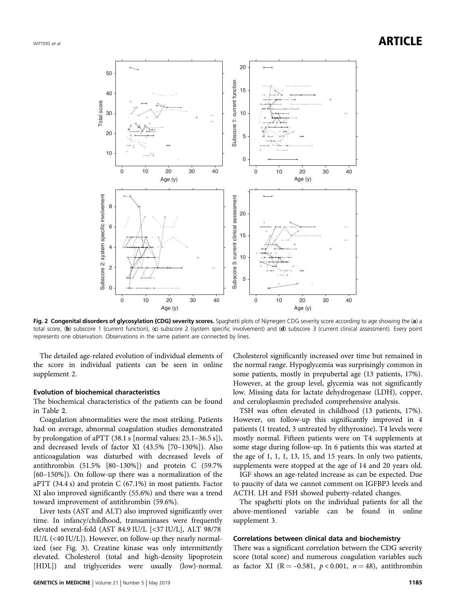<span id="page-4-0"></span>



Fig. 2 Congenital disorders of glycosylation (CDG) severity scores. Spaghetti plots of Nijmegen CDG severity score according to age showing the (a) a total score, (b) subscore 1 (current function), (c) subscore 2 (system specific involvement) and (d) subscore 3 (current clinical assessment). Every point represents one observation. Observations in the same patient are connected by lines.

The detailed age-related evolution of individual elements of the score in individual patients can be seen in online supplement 2.

#### Evolution of biochemical characteristics

The biochemical characteristics of the patients can be found in Table [2](#page-5-0).

Coagulation abnormalities were the most striking. Patients had on average, abnormal coagulation studies demonstrated by prolongation of aPTT (38.1 s [normal values: 25.1–36.5 s]), and decreased levels of factor XI (43.5% [70–130%]). Also anticoagulation was disturbed with decreased levels of antithrombin (51.5% [80–130%]) and protein C (59.7% [60–150%]). On follow-up there was a normalization of the aPTT (34.4 s) and protein C (67.1%) in most patients. Factor XI also improved significantly (55.6%) and there was a trend toward improvement of antithrombin (59.6%).

Liver tests (AST and ALT) also improved significantly over time. In infancy/childhood, transaminases were frequently elevated several-fold (AST 84.9 IU/L [<37 IU/L], ALT 98/78 IU/L (<40 IU/L]). However, on follow-up they nearly normalized (see Fig. [3](#page-6-0)). Creatine kinase was only intermittently elevated. Cholesterol (total and high-density lipoprotein [HDL]) and triglycerides were usually (low)-normal. Cholesterol significantly increased over time but remained in the normal range. Hypoglycemia was surprisingly common in some patients, mostly in prepubertal age (13 patients, 17%). However, at the group level, glycemia was not significantly low. Missing data for lactate dehydrogenase (LDH), copper, and ceruloplasmin precluded comprehensive analysis.

TSH was often elevated in childhood (13 patients, 17%). However, on follow-up this significantly improved in 4 patients (1 treated, 3 untreated by elthyroxine). T4 levels were mostly normal. Fifteen patients were on T4 supplements at some stage during follow-up. In 6 patients this was started at the age of 1, 1, 1, 13, 15, and 15 years. In only two patients, supplements were stopped at the age of 14 and 20 years old.

IGF shows an age-related increase as can be expected. Due to paucity of data we cannot comment on IGFBP3 levels and ACTH. LH and FSH showed puberty-related changes.

The spaghetti plots on the individual patients for all the above-mentioned variable can be found in online supplement 3.

#### Correlations between clinical data and biochemistry

There was a significant correlation between the CDG severity score (total score) and numerous coagulation variables such as factor XI (R = -0.581,  $p < 0.001$ ,  $n = 48$ ), antithrombin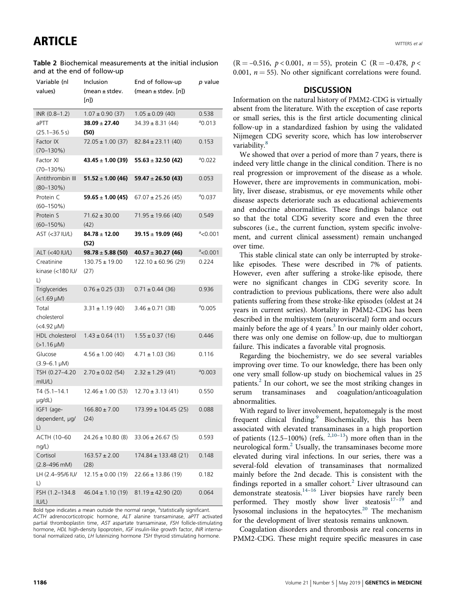<span id="page-5-0"></span>Table 2 Biochemical measurements at the initial inclusion and at the end of follow-up

| Variable (nl<br>values)                  | Inclusion<br>(mean ± stdev.<br>[n] | End of follow-up<br>(mean $\pm$ stdev. [n]) | p value           |
|------------------------------------------|------------------------------------|---------------------------------------------|-------------------|
| INR (0.8-1.2)                            | $1.07 \pm 0.90$ (37)               | $1.05 \pm 0.09$ (40)                        | 0.538             |
| aPTT<br>$(25.1 - 36.5 s)$                | $38.09 \pm 27.40$<br>(50)          | $34.39 \pm 8.31(44)$                        | $^{\circ}$ 0.013  |
| Factor IX<br>$(70 - 130\%)$              | $72.05 \pm 1.00$ (37)              | $82.84 \pm 23.11(40)$                       | 0.153             |
| Factor XI<br>$(70 - 130\%)$              | $43.45 \pm 1.00$ (39)              | $55.63 \pm 32.50(42)$                       | $^{\circ}$ 0.022  |
| Antithrombin III<br>$(80 - 130\%)$       | $51.52 \pm 1.00(46)$               | 59.47 $\pm$ 26.50 (43)                      | 0.053             |
| Protein C<br>$(60 - 150\%)$              | $59.65 \pm 1.00(45)$               | $67.07 \pm 25.26$ (45)                      | $^{\circ}$ 0.037  |
| Protein S<br>$(60 - 150\%)$              | $71.62 \pm 30.00$<br>(42)          | $71.95 \pm 19.66$ (40)                      | 0.549             |
| AST (<37 IU/L)                           | $84.78 \pm 12.00$<br>(52)          | $39.15 \pm 19.09$ (46)                      | $\degree$ <0.001  |
| ALT (<40 IU/L)                           | $98.78 \pm 5.88$ (50)              | $40.57 \pm 30.27$ (46)                      | $\degree$ < 0.001 |
| Creatinine<br>kinase (<180 IU/<br>L)     | $130.75 \pm 19.00$<br>(27)         | $122.10 \pm 60.96$ (29)                     | 0.224             |
| Triglycerides<br>$(<1.69 \mu M)$         | $0.76 \pm 0.25$ (33)               | $0.71 \pm 0.44$ (36)                        | 0.936             |
| Total<br>cholesterol<br>$(<4.92 \mu M$ ) | $3.31 \pm 1.19$ (40)               | $3.46 \pm 0.71$ (38)                        | $^{\circ}$ 0.005  |
| HDL cholesterol<br>$(>1.16 \mu M)$       | $1.43 \pm 0.64$ (11)               | $1.55 \pm 0.37$ (16)                        | 0.446             |
| Glucose<br>$(3.9 - 6.1 \,\mu M)$         | $4.56 \pm 1.00$ (40)               | $4.71 \pm 1.03$ (36)                        | 0.116             |
| TSH (0.27-4.20<br>mIU/L)                 | $2.70 \pm 0.02$ (54)               | $2.32 \pm 1.29$ (41)                        | $a_{0.003}$       |
| $T4(5.1 - 14.1$<br>µg/dL)                | $12.46 \pm 1.00$ (53)              | $12.70 \pm 3.13(41)$                        | 0.550             |
| IGF1 (age-<br>dependent, µg/<br>L)       | $166.80 \pm 7.00$<br>(24)          | $173.99 \pm 104.45$ (25)                    | 0.088             |
| ACTH (10–60<br>ng/L)                     | $24.26 \pm 10.80$ (8)              | $33.06 \pm 26.67$ (5)                       | 0.593             |
| Cortisol<br>$(2.8 - 496 \text{ mM})$     | $163.57 \pm 2.00$<br>(28)          | 174.84 ± 133.48 (21)                        | 0.148             |
| LH (2.4–95/6 IU/<br>L)                   | $12.15 \pm 0.00$ (19)              | $22.66 \pm 13.86$ (19)                      | 0.182             |
| FSH (1.2-134.8<br>IUI(L)                 | $46.04 \pm 1.10(19)$               | $81.19 \pm 42.90$ (20)                      | 0.064             |

Bold type indicates a mean outside the normal range, <sup>a</sup>statistically significant. ACTH adrenocorticotropic hormone, ALT alanine transaminase, aPTT activated partial thromboplastin time, AST aspartate transaminase, FSH follicle-stimulating hormone, HDL high-density lipoprotein, IGF insulin-like growth factor, INR international normalized ratio, LH luteinizing hormone TSH thyroid stimulating hormone.

 $(R = -0.516, p < 0.001, n = 55)$ , protein C  $(R = -0.478, p <$ 0.001,  $n = 55$ ). No other significant correlations were found.

#### **DISCUSSION**

Information on the natural history of PMM2-CDG is virtually absent from the literature. With the exception of case reports or small series, this is the first article documenting clinical follow-up in a standardized fashion by using the validated Nijmegen CDG severity score, which has low interobserver variability.<sup>[8](#page-7-0)</sup>

We showed that over a period of more than 7 years, there is indeed very little change in the clinical condition. There is no real progression or improvement of the disease as a whole. However, there are improvements in communication, mobility, liver disease, strabismus, or eye movements while other disease aspects deteriorate such as educational achievements and endocrine abnormalities. These findings balance out so that the total CDG severity score and even the three subscores (i.e., the current function, system specific involvement, and current clinical assessment) remain unchanged over time.

This stable clinical state can only be interrupted by strokelike episodes. These were described in 7% of patients. However, even after suffering a stroke-like episode, there were no significant changes in CDG severity score. In contradiction to previous publications, there were also adult patients suffering from these stroke-like episodes (oldest at 24 years in current series). Mortality in PMM2-CDG has been described in the multisystem (neurovisceral) form and occurs mainly before the age of 4 years. $3$  In our mainly older cohort, there was only one demise on follow-up, due to multiorgan failure. This indicates a favorable vital prognosis.

Regarding the biochemistry, we do see several variables improving over time. To our knowledge, there has been only one very small follow-up study on biochemical values in 25 patients[.2](#page-7-0) In our cohort, we see the most striking changes in serum transaminases and coagulation/anticoagulation abnormalities.

With regard to liver involvement, hepatomegaly is the most frequent clinical finding.<sup>[9](#page-7-0)</sup> Biochemically, this has been associated with elevated transaminases in a high proportion of patients  $(12.5-100%)$  (refs.  $2,10-13)$  $2,10-13)$  $2,10-13)$  $2,10-13)$ ) more often than in the neurological form.[2](#page-7-0) Usually, the transaminases become more elevated during viral infections. In our series, there was a several-fold elevation of transaminases that normalized mainly before the 2nd decade. This is consistent with the findings reported in a smaller cohort.<sup>2</sup> Liver ultrasound can demonstrate steatosis.<sup>[14](#page-7-0)–[16](#page-7-0)</sup> Liver biopsies have rarely been performed. They mostly show liver steatosis $17-19$  $17-19$  $17-19$  and lysosomal inclusions in the hepatocytes.<sup>[20](#page-7-0)</sup> The mechanism for the development of liver steatosis remains unknown.

Coagulation disorders and thrombosis are real concerns in PMM2-CDG. These might require specific measures in case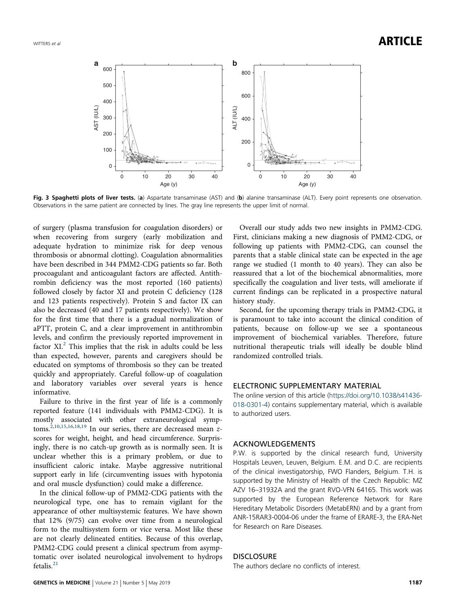<span id="page-6-0"></span>

Fig. 3 Spaghetti plots of liver tests. (a) Aspartate transaminase (AST) and (b) alanine transaminase (ALT). Every point represents one observation. Observations in the same patient are connected by lines. The gray line represents the upper limit of normal.

of surgery (plasma transfusion for coagulation disorders) or when recovering from surgery (early mobilization and adequate hydration to minimize risk for deep venous thrombosis or abnormal clotting). Coagulation abnormalities have been described in 344 PMM2-CDG patients so far. Both procoagulant and anticoagulant factors are affected. Antithrombin deficiency was the most reported (160 patients) followed closely by factor XI and protein C deficiency (128 and 123 patients respectively). Protein S and factor IX can also be decreased (40 and 17 patients respectively). We show for the first time that there is a gradual normalization of aPTT, protein C, and a clear improvement in antithrombin levels, and confirm the previously reported improvement in factor XI.<sup>[2](#page-7-0)</sup> This implies that the risk in adults could be less than expected, however, parents and caregivers should be educated on symptoms of thrombosis so they can be treated quickly and appropriately. Careful follow-up of coagulation and laboratory variables over several years is hence informative.

Failure to thrive in the first year of life is a commonly reported feature (141 individuals with PMM2-CDG). It is mostly associated with other extraneurological symp-toms.<sup>[2](#page-7-0),[10,15,16,18](#page-7-0),[19](#page-7-0)</sup> In our series, there are decreased mean  $z$ scores for weight, height, and head circumference. Surprisingly, there is no catch-up growth as is normally seen. It is unclear whether this is a primary problem, or due to insufficient caloric intake. Maybe aggressive nutritional support early in life (circumventing issues with hypotonia and oral muscle dysfunction) could make a difference.

In the clinical follow-up of PMM2-CDG patients with the neurological type, one has to remain vigilant for the appearance of other multisystemic features. We have shown that 12% (9/75) can evolve over time from a neurological form to the multisystem form or vice versa. Most like these are not clearly delineated entities. Because of this overlap, PMM2-CDG could present a clinical spectrum from asymptomatic over isolated neurological involvement to hydrops fetalis. $^{21}$  $^{21}$  $^{21}$ 

Overall our study adds two new insights in PMM2-CDG. First, clinicians making a new diagnosis of PMM2-CDG, or following up patients with PMM2-CDG, can counsel the parents that a stable clinical state can be expected in the age range we studied (1 month to 40 years). They can also be reassured that a lot of the biochemical abnormalities, more specifically the coagulation and liver tests, will ameliorate if current findings can be replicated in a prospective natural history study.

Second, for the upcoming therapy trials in PMM2-CDG, it is paramount to take into account the clinical condition of patients, because on follow-up we see a spontaneous improvement of biochemical variables. Therefore, future nutritional therapeutic trials will ideally be double blind randomized controlled trials.

#### ELECTRONIC SUPPLEMENTARY MATERIAL

The online version of this article [\(https://doi.org/10.1038/s41436-](https://doi.org/10.1038/s41436-018-0301-4) [018-0301-4\)](https://doi.org/10.1038/s41436-018-0301-4) contains supplementary material, which is available to authorized users.

#### ACKNOWLEDGEMENTS

P.W. is supported by the clinical research fund, University Hospitals Leuven, Leuven, Belgium. E.M. and D.C. are recipients of the clinical investigatorship, FWO Flanders, Belgium. T.H. is supported by the Ministry of Health of the Czech Republic: MZ AZV 16–31932A and the grant RVO-VFN 64165. This work was supported by the European Reference Network for Rare Hereditary Metabolic Disorders (MetabERN) and by a grant from ANR-15RAR3-0004-06 under the frame of ERARE-3, the ERA-Net for Research on Rare Diseases.

#### **DISCLOSURE**

The authors declare no conflicts of interest.